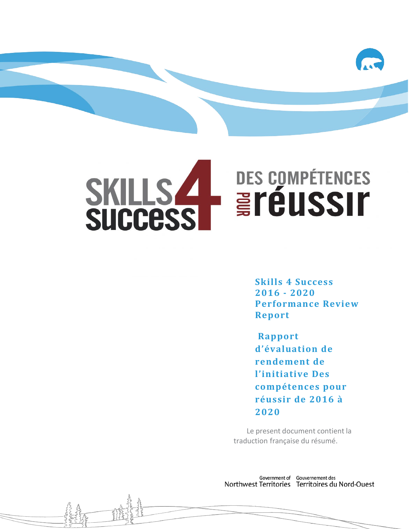

# **DES COMPÉTENCES** SKILLS 4 **Eréussir**

**Skills 4 Success 2016 - 2020 Performance Review Report**

**Rapport d'évaluation de rendement de l'initiative Des compétences pour réussir de 2016 à 2020**

Le present document contient la traduction française du résumé.

Government of Gouvernement des Northwest Territories Territoires du Nord-Ouest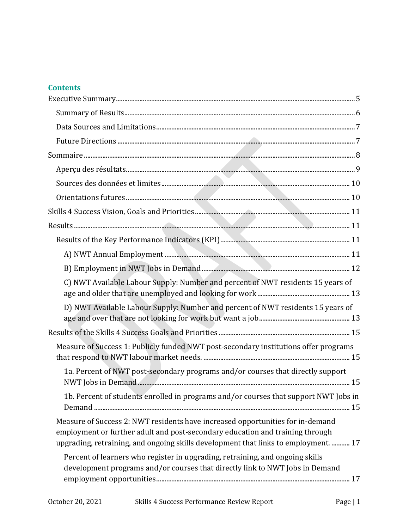#### **Contents**

| C) NWT Available Labour Supply: Number and percent of NWT residents 15 years of                                                                                                                                                                                                                                                         |
|-----------------------------------------------------------------------------------------------------------------------------------------------------------------------------------------------------------------------------------------------------------------------------------------------------------------------------------------|
| D) NWT Available Labour Supply: Number and percent of NWT residents 15 years of                                                                                                                                                                                                                                                         |
|                                                                                                                                                                                                                                                                                                                                         |
| Measure of Success 1: Publicly funded NWT post-secondary institutions offer programs                                                                                                                                                                                                                                                    |
| 1a. Percent of NWT post-secondary programs and/or courses that directly support                                                                                                                                                                                                                                                         |
| 1b. Percent of students enrolled in programs and/or courses that support NWT Jobs in                                                                                                                                                                                                                                                    |
| Measure of Success 2: NWT residents have increased opportunities for in-demand<br>employment or further adult and post-secondary education and training through<br>upgrading, retraining, and ongoing skills development that links to employment.  17<br>Percent of learners who register in upgrading, retraining, and ongoing skills |
| development programs and/or courses that directly link to NWT Jobs in Demand                                                                                                                                                                                                                                                            |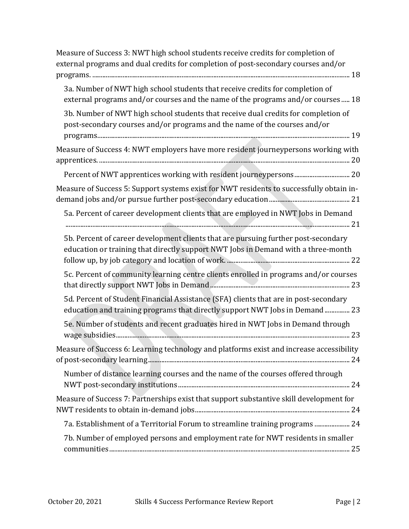| Measure of Success 3: NWT high school students receive credits for completion of<br>external programs and dual credits for completion of post-secondary courses and/or  |
|-------------------------------------------------------------------------------------------------------------------------------------------------------------------------|
| 3a. Number of NWT high school students that receive credits for completion of<br>external programs and/or courses and the name of the programs and/or courses  18       |
| 3b. Number of NWT high school students that receive dual credits for completion of<br>post-secondary courses and/or programs and the name of the courses and/or         |
| Measure of Success 4: NWT employers have more resident journeypersons working with                                                                                      |
|                                                                                                                                                                         |
| Measure of Success 5: Support systems exist for NWT residents to successfully obtain in-                                                                                |
| 5a. Percent of career development clients that are employed in NWT Jobs in Demand                                                                                       |
| 5b. Percent of career development clients that are pursuing further post-secondary<br>education or training that directly support NWT Jobs in Demand with a three-month |
| 5c. Percent of community learning centre clients enrolled in programs and/or courses                                                                                    |
| 5d. Percent of Student Financial Assistance (SFA) clients that are in post-secondary<br>education and training programs that directly support NWT Jobs in Demand 23     |
| 5e. Number of students and recent graduates hired in NWT Jobs in Demand through                                                                                         |
| Measure of Success 6: Learning technology and platforms exist and increase accessibility                                                                                |
| Number of distance learning courses and the name of the courses offered through                                                                                         |
| Measure of Success 7: Partnerships exist that support substantive skill development for                                                                                 |
| 7a. Establishment of a Territorial Forum to streamline training programs  24                                                                                            |
| 7b. Number of employed persons and employment rate for NWT residents in smaller                                                                                         |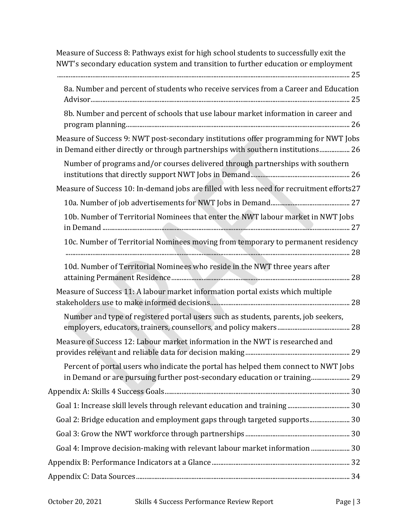| Measure of Success 8: Pathways exist for high school students to successfully exit the                                                                                  |
|-------------------------------------------------------------------------------------------------------------------------------------------------------------------------|
| NWT's secondary education system and transition to further education or employment                                                                                      |
| 8a. Number and percent of students who receive services from a Career and Education                                                                                     |
| 8b. Number and percent of schools that use labour market information in career and                                                                                      |
| Measure of Success 9: NWT post-secondary institutions offer programming for NWT Jobs<br>in Demand either directly or through partnerships with southern institutions 26 |
| Number of programs and/or courses delivered through partnerships with southern                                                                                          |
| Measure of Success 10: In-demand jobs are filled with less need for recruitment efforts27                                                                               |
|                                                                                                                                                                         |
| 10b. Number of Territorial Nominees that enter the NWT labour market in NWT Jobs                                                                                        |
| 10c. Number of Territorial Nominees moving from temporary to permanent residency                                                                                        |
| 10d. Number of Territorial Nominees who reside in the NWT three years after                                                                                             |
| Measure of Success 11: A labour market information portal exists which multiple                                                                                         |
| Number and type of registered portal users such as students, parents, job seekers,                                                                                      |
| Measure of Success 12: Labour market information in the NWT is researched and                                                                                           |
| Percent of portal users who indicate the portal has helped them connect to NWT Jobs<br>in Demand or are pursuing further post-secondary education or training 29        |
|                                                                                                                                                                         |
|                                                                                                                                                                         |
| Goal 2: Bridge education and employment gaps through targeted supports 30                                                                                               |
|                                                                                                                                                                         |
| Goal 4: Improve decision-making with relevant labour market information  30                                                                                             |
|                                                                                                                                                                         |
|                                                                                                                                                                         |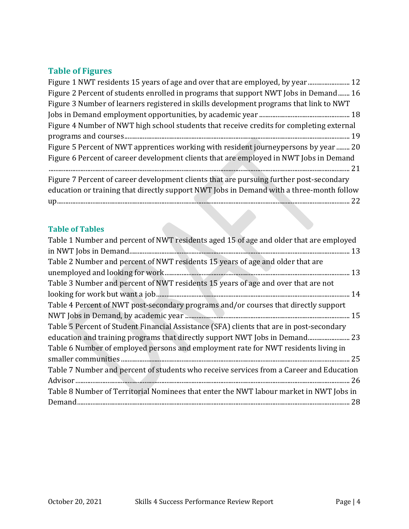# **Table of Figures**

| Figure 1 NWT residents 15 years of age and over that are employed, by year 12            |
|------------------------------------------------------------------------------------------|
| Figure 2 Percent of students enrolled in programs that support NWT Jobs in Demand 16     |
| Figure 3 Number of learners registered in skills development programs that link to NWT   |
|                                                                                          |
| Figure 4 Number of NWT high school students that receive credits for completing external |
|                                                                                          |
| Figure 5 Percent of NWT apprentices working with resident journeypersons by year  20     |
| Figure 6 Percent of career development clients that are employed in NWT Jobs in Demand   |
|                                                                                          |
| Figure 7 Percent of career development clients that are pursuing further post-secondary  |
| education or training that directly support NWT Jobs in Demand with a three-month follow |
|                                                                                          |

eri<br>Ka

# **Table of Tables**

| Table 1 Number and percent of NWT residents aged 15 of age and older that are employed   |
|------------------------------------------------------------------------------------------|
|                                                                                          |
| Table 2 Number and percent of NWT residents 15 years of age and older that are           |
|                                                                                          |
| Table 3 Number and percent of NWT residents 15 years of age and over that are not        |
|                                                                                          |
| Table 4 Percent of NWT post-secondary programs and/or courses that directly support      |
|                                                                                          |
| Table 5 Percent of Student Financial Assistance (SFA) clients that are in post-secondary |
| education and training programs that directly support NWT Jobs in Demand 23              |
| Table 6 Number of employed persons and employment rate for NWT residents living in       |
|                                                                                          |
| Table 7 Number and percent of students who receive services from a Career and Education  |
|                                                                                          |
| Table 8 Number of Territorial Nominees that enter the NWT labour market in NWT Jobs in   |
|                                                                                          |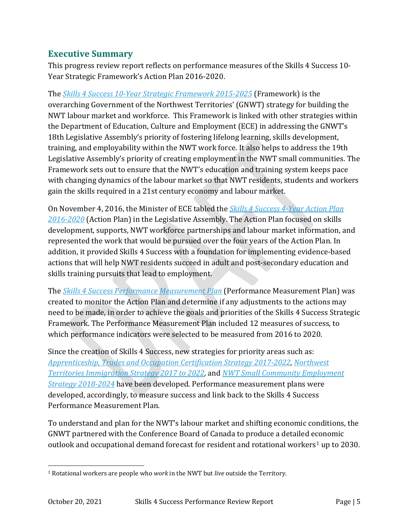## <span id="page-5-0"></span>**Executive Summary**

This progress review report reflects on performance measures of the Skills 4 Success 10- Year Strategic Framework's Action Plan 2016-2020.

The *[Skills 4 Success 10-Year Strategic Framework 2015-2025](https://www.ece.gov.nt.ca/sites/ece/files/resources/skills_4_success_-_10-year_strategic_framework.pdf)* (Framework) is the overarching Government of the Northwest Territories' (GNWT) strategy for building the NWT labour market and workforce. This Framework is linked with other strategies within the Department of Education, Culture and Employment (ECE) in addressing the GNWT's 18th Legislative Assembly's priority of fostering lifelong learning, skills development, training, and employability within the NWT work force. It also helps to address the 19th Legislative Assembly's priority of creating employment in the NWT small communities. The Framework sets out to ensure that the NWT's education and training system keeps pace with changing dynamics of the labour market so that NWT residents, students and workers gain the skills required in a 21st century economy and labour market.

On November 4, 2016, the Minister of ECE tabled the *[Skills 4 Success 4-Year Action Plan](https://www.ece.gov.nt.ca/sites/ece/files/resources/skills_4_success_4-year_action_plan_2016-2020.pdf)  [2016-2020](https://www.ece.gov.nt.ca/sites/ece/files/resources/skills_4_success_4-year_action_plan_2016-2020.pdf)* (Action Plan) in the Legislative Assembly. The Action Plan focused on skills development, supports, NWT workforce partnerships and labour market information, and represented the work that would be pursued over the four years of the Action Plan. In addition, it provided Skills 4 Success with a foundation for implementing evidence-based actions that will help NWT residents succeed in adult and post-secondary education and skills training pursuits that lead to employment.

The *[Skills 4 Success Performance Measurement Plan](https://www.ece.gov.nt.ca/sites/ece/files/resources/skills_4_success_performance_measurement_plan_for_the_4-year_action_plan_2016-2020_low_resolution.pdf)* (Performance Measurement Plan) was created to monitor the Action Plan and determine if any adjustments to the actions may need to be made, in order to achieve the goals and priorities of the Skills 4 Success Strategic Framework. The Performance Measurement Plan included 12 measures of success, to which performance indicators were selected to be measured from 2016 to 2020.

Since the creation of Skills 4 Success, new strategies for priority areas such as: *Apprenticeship, [Trades and Occupation Certification Strategy 2017-2022,](https://www.ece.gov.nt.ca/sites/ece/files/resources/apprenticeship_trades_and_occupational_certification_strategy_2017-2022.pdf) [Northwest](https://www.ece.gov.nt.ca/sites/ece/files/resources/nwt_immigration_strategy_june_2017_eng_final.pdf)  [Territories Immigration Strategy 2017 to 2022,](https://www.ece.gov.nt.ca/sites/ece/files/resources/nwt_immigration_strategy_june_2017_eng_final.pdf)* and *[NWT Small Community Employment](https://www.ece.gov.nt.ca/sites/ece/files/resources/024-sc_employment_strategy_web.pdf)  [Strategy 2018-2024](https://www.ece.gov.nt.ca/sites/ece/files/resources/024-sc_employment_strategy_web.pdf)* have been developed. Performance measurement plans were developed, accordingly, to measure success and link back to the Skills 4 Success Performance Measurement Plan.

To understand and plan for the NWT's labour market and shifting economic conditions, the GNWT partnered with the Conference Board of Canada to produce a detailed economic outlook and occupational demand forecast for resident and rotational workers<sup>[1](#page-5-1)</sup> up to 2030.

<span id="page-5-1"></span> <sup>1</sup> Rotational workers are people who *work* in the NWT but *live* outside the Territory.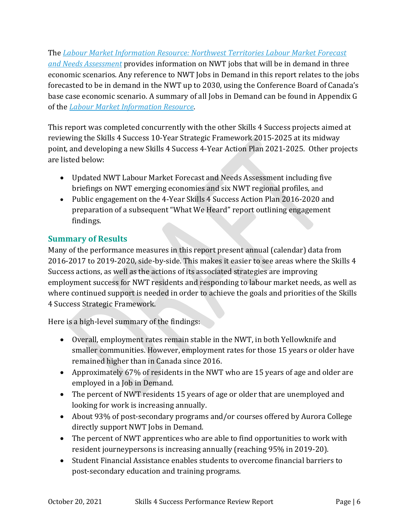The *[Labour Market Information Resource: Northwest Territories Labour](https://www.ece.gov.nt.ca/sites/ece/files/resources/skills_4_success_-_labour_market_forecast_and_needs_assessment_-_resource.pdf) Market Forecast [and Needs Assessment](https://www.ece.gov.nt.ca/sites/ece/files/resources/skills_4_success_-_labour_market_forecast_and_needs_assessment_-_resource.pdf)* provides information on NWT jobs that will be in demand in three economic scenarios. Any reference to NWT Jobs in Demand in this report relates to the jobs forecasted to be in demand in the NWT up to 2030, using the Conference Board of Canada's base case economic scenario. A summary of all Jobs in Demand can be found in Appendix G of the *[Labour Market Information Resource](https://www.ece.gov.nt.ca/sites/ece/files/resources/skills_4_success_-_labour_market_resource.pdf)*.

This report was completed concurrently with the other Skills 4 Success projects aimed at reviewing the Skills 4 Success 10-Year Strategic Framework 2015-2025 at its midway point, and developing a new Skills 4 Success 4-Year Action Plan 2021-2025. Other projects are listed below:

- Updated NWT Labour Market Forecast and Needs Assessment including five briefings on NWT emerging economies and six NWT regional profiles, and
- Public engagement on the 4-Year Skills 4 Success Action Plan 2016-2020 and preparation of a subsequent "What We Heard" report outlining engagement findings.

## <span id="page-6-0"></span>**Summary of Results**

Many of the performance measures in this report present annual (calendar) data from 2016-2017 to 2019-2020, side-by-side. This makes it easier to see areas where the Skills 4 Success actions, as well as the actions of its associated strategies are improving employment success for NWT residents and responding to labour market needs, as well as where continued support is needed in order to achieve the goals and priorities of the Skills 4 Success Strategic Framework.

Here is a high-level summary of the findings:

- Overall, employment rates remain stable in the NWT, in both Yellowknife and smaller communities. However, employment rates for those 15 years or older have remained higher than in Canada since 2016.
- Approximately 67% of residents in the NWT who are 15 years of age and older are employed in a Job in Demand.
- The percent of NWT residents 15 years of age or older that are unemployed and looking for work is increasing annually.
- About 93% of post-secondary programs and/or courses offered by Aurora College directly support NWT Jobs in Demand.
- The percent of NWT apprentices who are able to find opportunities to work with resident journeypersons is increasing annually (reaching 95% in 2019-20).
- Student Financial Assistance enables students to overcome financial barriers to post-secondary education and training programs.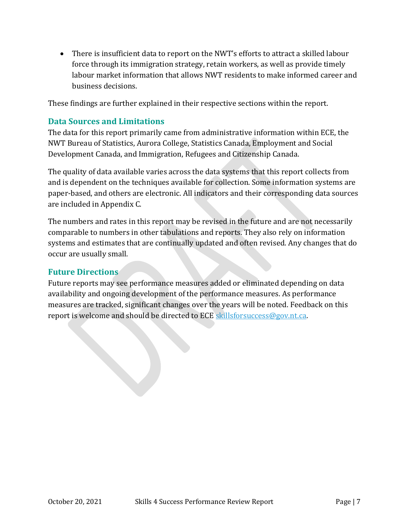• There is insufficient data to report on the NWT's efforts to attract a skilled labour force through its immigration strategy, retain workers, as well as provide timely labour market information that allows NWT residents to make informed career and business decisions.

These findings are further explained in their respective sections within the report.

## <span id="page-7-0"></span>**Data Sources and Limitations**

The data for this report primarily came from administrative information within ECE, the NWT Bureau of Statistics, Aurora College, Statistics Canada, Employment and Social Development Canada, and Immigration, Refugees and Citizenship Canada.

The quality of data available varies across the data systems that this report collects from and is dependent on the techniques available for collection. Some information systems are paper-based, and others are electronic. All indicators and their corresponding data sources are included in Appendix C.

The numbers and rates in this report may be revised in the future and are not necessarily comparable to numbers in other tabulations and reports. They also rely on information systems and estimates that are continually updated and often revised. Any changes that do occur are usually small.

## <span id="page-7-1"></span>**Future Directions**

Future reports may see performance measures added or eliminated depending on data availability and ongoing development of the performance measures. As performance measures are tracked, significant changes over the years will be noted. Feedback on this report is welcome and should be directed to ECE [skillsforsuccess@gov.nt.ca.](mailto:skillsforsuccess@gov.nt.ca)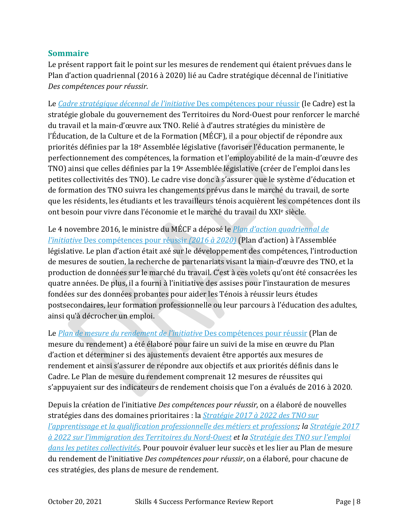## <span id="page-8-0"></span>**Sommaire**

Le présent rapport fait le point sur les mesures de rendement qui étaient prévues dans le Plan d'action quadriennal (2016 à 2020) lié au Cadre stratégique décennal de l'initiative *Des compétences pour réussir*.

Le *[Cadre stratégique décennal de l'initiative](https://www.ece.gov.nt.ca/sites/ece/files/resources/skills_4_success_-_10-year_strategic_framework.pdf)* Des compétences pour réussir (le Cadre) est la stratégie globale du gouvernement des Territoires du Nord-Ouest pour renforcer le marché du travail et la main-d'œuvre aux TNO. Relié à d'autres stratégies du ministère de l'Éducation, de la Culture et de la Formation (MÉCF), il a pour objectif de répondre aux priorités définies par la 18e Assemblée législative (favoriser l'éducation permanente, le perfectionnement des compétences, la formation et l'employabilité de la main-d'œuvre des TNO) ainsi que celles définies par la 19e Assemblée législative (créer de l'emploi dans les petites collectivités des TNO). Le cadre vise donc à s'assurer que le système d'éducation et de formation des TNO suivra les changements prévus dans le marché du travail, de sorte que les résidents, les étudiants et les travailleurs ténois acquièrent les compétences dont ils ont besoin pour vivre dans l'économie et le marché du travail du XXIe siècle.

Le 4 novembre 2016, le ministre du MÉCF a déposé le *[Plan d'action quadriennal de](https://www.ece.gov.nt.ca/sites/ece/files/resources/skills_4_success_4-year_action_plan_2016-2020.pdf)  l'initiative* [Des compétences pour réussir](https://www.ece.gov.nt.ca/sites/ece/files/resources/skills_4_success_4-year_action_plan_2016-2020.pdf) *(2016 à 2020)* (Plan d'action) à l'Assemblée législative. Le plan d'action était axé sur le développement des compétences, l'introduction de mesures de soutien, la recherche de partenariats visant la main-d'œuvre des TNO, et la production de données sur le marché du travail. C'est à ces volets qu'ont été consacrées les quatre années. De plus, il a fourni à l'initiative des assises pour l'instauration de mesures fondées sur des données probantes pour aider les Ténois à réussir leurs études postsecondaires, leur formation professionnelle ou leur parcours à l'éducation des adultes, ainsi qu'à décrocher un emploi.

Le *[Plan de mesure du rendement de l'initiative](https://www.ece.gov.nt.ca/sites/ece/files/resources/skills_4_success_performance_measurement_plan_for_the_4-year_action_plan_2016-2020_low_resolution.pdf)* Des compétences pour réussir (Plan de mesure du rendement) a été élaboré pour faire un suivi de la mise en œuvre du Plan d'action et déterminer si des ajustements devaient être apportés aux mesures de rendement et ainsi s'assurer de répondre aux objectifs et aux priorités définis dans le Cadre. Le Plan de mesure du rendement comprenait 12 mesures de réussites qui s'appuyaient sur des indicateurs de rendement choisis que l'on a évalués de 2016 à 2020.

Depuis la création de l'initiative *Des compétences pour réussir*, on a élaboré de nouvelles stratégies dans des domaines prioritaires : la *Stratégie [2017 à 2022 des TNO sur](https://www.ece.gov.nt.ca/sites/ece/files/resources/apprenticeship_trades_and_occupational_certification_strategy_2017-2022.pdf)  [l'apprentissage et la qualification professionnelle des métiers et professions;](https://www.ece.gov.nt.ca/sites/ece/files/resources/apprenticeship_trades_and_occupational_certification_strategy_2017-2022.pdf) la [Stratégie](https://www.ece.gov.nt.ca/sites/ece/files/resources/nwt_immigration_strategy_june_2017_eng_final.pdf) 2017 [à 2022 sur l'immigration des Territoires du Nord-Ouest](https://www.ece.gov.nt.ca/sites/ece/files/resources/nwt_immigration_strategy_june_2017_eng_final.pdf) et la [Stratégie des TNO sur l'emploi](https://www.ece.gov.nt.ca/sites/ece/files/resources/024-sc_employment_strategy_web.pdf)  [dans les petites collectivités](https://www.ece.gov.nt.ca/sites/ece/files/resources/024-sc_employment_strategy_web.pdf)*. Pour pouvoir évaluer leur succès et les lier au Plan de mesure du rendement de l'initiative *Des compétences pour réussir*, on a élaboré, pour chacune de ces stratégies, des plans de mesure de rendement.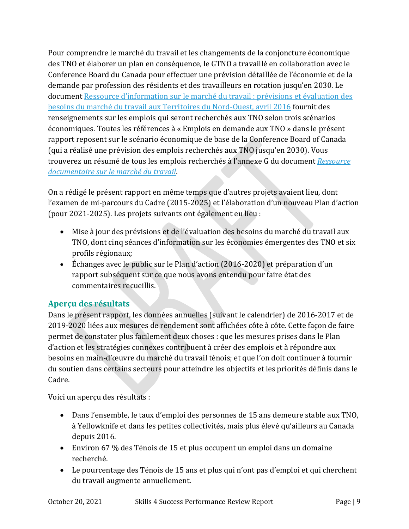Pour comprendre le marché du travail et les changements de la conjoncture économique des TNO et élaborer un plan en conséquence, le GTNO a travaillé en collaboration avec le Conference Board du Canada pour effectuer une prévision détaillée de l'économie et de la demande par profession des résidents et des travailleurs en rotation jusqu'en 2030. Le document [Ressource d'information sur le marché du travail](https://www.ece.gov.nt.ca/sites/ece/files/resources/skills_4_success_-_labour_market_forecast_and_needs_assessment_-_resource.pdf) : prévisions et évaluation des [besoins du marché du travail aux Territoires du Nord-Ouest, avril 2016](https://www.ece.gov.nt.ca/sites/ece/files/resources/skills_4_success_-_labour_market_forecast_and_needs_assessment_-_resource.pdf) fournit des renseignements sur les emplois qui seront recherchés aux TNO selon trois scénarios économiques. Toutes les références à « Emplois en demande aux TNO » dans le présent rapport reposent sur le scénario économique de base de la Conference Board of Canada (qui a réalisé une prévision des emplois recherchés aux TNO jusqu'en 2030). Vous trouverez un résumé de tous les emplois recherchés à l'annexe G du document *[Ressource](https://www.ece.gov.nt.ca/sites/ece/files/resources/skills_4_success_-_labour_market_resource.pdf)  documentaire [sur le marché du travail](https://www.ece.gov.nt.ca/sites/ece/files/resources/skills_4_success_-_labour_market_resource.pdf)*.

On a rédigé le présent rapport en même temps que d'autres projets avaient lieu, dont l'examen de mi-parcours du Cadre (2015-2025) et l'élaboration d'un nouveau Plan d'action (pour 2021-2025). Les projets suivants ont également eu lieu :

- Mise à jour des prévisions et de l'évaluation des besoins du marché du travail aux TNO, dont cinq séances d'information sur les économies émergentes des TNO et six profils régionaux;
- Échanges avec le public sur le Plan d'action (2016-2020) et préparation d'un rapport subséquent sur ce que nous avons entendu pour faire état des commentaires recueillis.

# <span id="page-9-0"></span>**Aperçu des résultats**

Dans le présent rapport, les données annuelles (suivant le calendrier) de 2016-2017 et de 2019-2020 liées aux mesures de rendement sont affichées côte à côte. Cette façon de faire permet de constater plus facilement deux choses : que les mesures prises dans le Plan d'action et les stratégies connexes contribuent à créer des emplois et à répondre aux besoins en main-d'œuvre du marché du travail ténois; et que l'on doit continuer à fournir du soutien dans certains secteurs pour atteindre les objectifs et les priorités définis dans le Cadre.

Voici un aperçu des résultats :

- Dans l'ensemble, le taux d'emploi des personnes de 15 ans demeure stable aux TNO, à Yellowknife et dans les petites collectivités, mais plus élevé qu'ailleurs au Canada depuis 2016.
- Environ 67 % des Ténois de 15 et plus occupent un emploi dans un domaine recherché.
- Le pourcentage des Ténois de 15 ans et plus qui n'ont pas d'emploi et qui cherchent du travail augmente annuellement.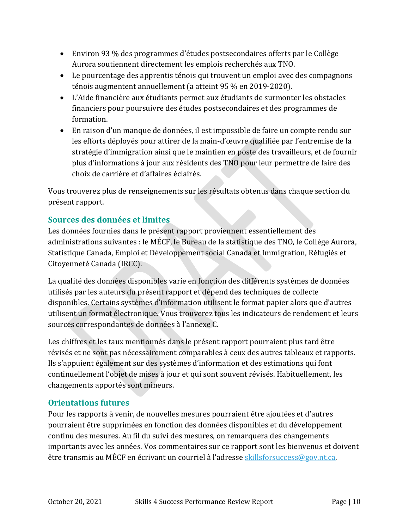- Environ 93 % des programmes d'études postsecondaires offerts par le Collège Aurora soutiennent directement les emplois recherchés aux TNO.
- Le pourcentage des apprentis ténois qui trouvent un emploi avec des compagnons ténois augmentent annuellement (a atteint 95 % en 2019-2020).
- L'Aide financière aux étudiants permet aux étudiants de surmonter les obstacles financiers pour poursuivre des études postsecondaires et des programmes de formation.
- En raison d'un manque de données, il est impossible de faire un compte rendu sur les efforts déployés pour attirer de la main-d'œuvre qualifiée par l'entremise de la stratégie d'immigration ainsi que le maintien en poste des travailleurs, et de fournir plus d'informations à jour aux résidents des TNO pour leur permettre de faire des choix de carrière et d'affaires éclairés.

Vous trouverez plus de renseignements sur les résultats obtenus dans chaque section du présent rapport.

## <span id="page-10-0"></span>**Sources des données et limites**

Les données fournies dans le présent rapport proviennent essentiellement des administrations suivantes : le MÉCF, le Bureau de la statistique des TNO, le Collège Aurora, Statistique Canada, Emploi et Développement social Canada et Immigration, Réfugiés et Citoyenneté Canada (IRCC).

La qualité des données disponibles varie en fonction des différents systèmes de données utilisés par les auteurs du présent rapport et dépend des techniques de collecte disponibles. Certains systèmes d'information utilisent le format papier alors que d'autres utilisent un format électronique. Vous trouverez tous les indicateurs de rendement et leurs sources correspondantes de données à l'annexe C.

Les chiffres et les taux mentionnés dans le présent rapport pourraient plus tard être révisés et ne sont pas nécessairement comparables à ceux des autres tableaux et rapports. Ils s'appuient également sur des systèmes d'information et des estimations qui font continuellement l'objet de mises à jour et qui sont souvent révisés. Habituellement, les changements apportés sont mineurs.

## <span id="page-10-1"></span>**Orientations futures**

Pour les rapports à venir, de nouvelles mesures pourraient être ajoutées et d'autres pourraient être supprimées en fonction des données disponibles et du développement continu des mesures. Au fil du suivi des mesures, on remarquera des changements importants avec les années. Vos commentaires sur ce rapport sont les bienvenus et doivent être transmis au MÉCF en écrivant un courriel à l'adresse [skillsforsuccess@gov.nt.ca.](mailto:skillsforsuccess@gov.nt.ca)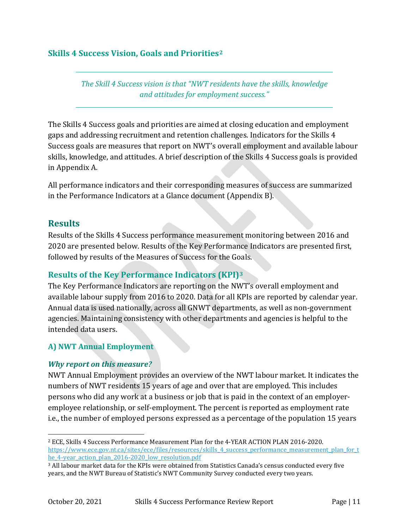## <span id="page-11-0"></span>**Skills 4 Success Vision, Goals and Priorities[2](#page-11-4)**

*The Skill 4 Success vision is that "NWT residents have the skills, knowledge and attitudes for employment success."*

The Skills 4 Success goals and priorities are aimed at closing education and employment gaps and addressing recruitment and retention challenges. Indicators for the Skills 4 Success goals are measures that report on NWT's overall employment and available labour skills, knowledge, and attitudes. A brief description of the Skills 4 Success goals is provided in Appendix A.

All performance indicators and their corresponding measures of success are summarized in the Performance Indicators at a Glance document (Appendix B).

## <span id="page-11-1"></span>**Results**

Results of the Skills 4 Success performance measurement monitoring between 2016 and 2020 are presented below. Results of the Key Performance Indicators are presented first, followed by results of the Measures of Success for the Goals.

## <span id="page-11-2"></span>**Results of the Key Performance Indicators (KPI)[3](#page-11-5)**

The Key Performance Indicators are reporting on the NWT's overall employment and available labour supply from 2016 to 2020. Data for all KPIs are reported by calendar year. Annual data is used nationally, across all GNWT departments, as well as non-government agencies. Maintaining consistency with other departments and agencies is helpful to the intended data users.

## <span id="page-11-3"></span>**A) NWT Annual Employment**

## *Why report on this measure?*

NWT Annual Employment provides an overview of the NWT labour market. It indicates the numbers of NWT residents 15 years of age and over that are employed. This includes persons who did any work at a business or job that is paid in the context of an employeremployee relationship, or self-employment. The percent is reported as employment rate i.e., the number of employed persons expressed as a percentage of the population 15 years

<span id="page-11-4"></span> <sup>2</sup> ECE, Skills 4 Success Performance Measurement Plan for the 4-YEAR ACTION PLAN 2016-2020. [https://www.ece.gov.nt.ca/sites/ece/files/resources/skills\\_4\\_success\\_performance\\_measurement\\_plan\\_for\\_t](https://www.ece.gov.nt.ca/sites/ece/files/resources/skills_4_success_performance_measurement_plan_for_the_4-year_action_plan_2016-2020_low_resolution.pdf) he 4-year action plan 2016-2020 low resolution.pdf

<span id="page-11-5"></span><sup>3</sup> All labour market data for the KPIs were obtained from Statistics Canada's census conducted every five years, and the NWT Bureau of Statistic's NWT Community Survey conducted every two years.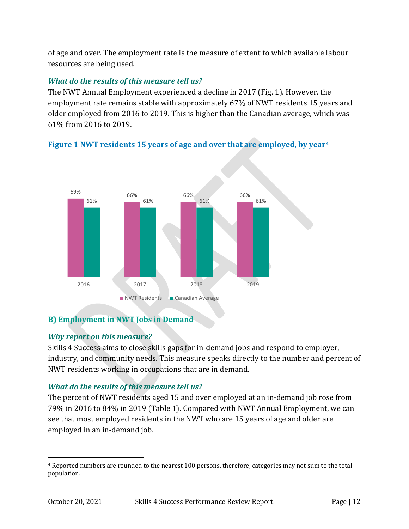of age and over. The employment rate is the measure of extent to which available labour resources are being used.

## *What do the results of this measure tell us?*

The NWT Annual Employment experienced a decline in 2017 (Fig. 1). However, the employment rate remains stable with approximately 67% of NWT residents 15 years and older employed from 2016 to 2019. This is higher than the Canadian average, which was 61% from 2016 to 2019.

## <span id="page-12-1"></span>**Figure 1 NWT residents 15 years of age and over that are employed, by year[4](#page-12-2)**



## <span id="page-12-0"></span>**B) Employment in NWT Jobs in Demand**

## *Why report on this measure?*

Skills 4 Success aims to close skills gaps for in-demand jobs and respond to employer, industry, and community needs. This measure speaks directly to the number and percent of NWT residents working in occupations that are in demand.

## *What do the results of this measure tell us?*

The percent of NWT residents aged 15 and over employed at an in-demand job rose from 79% in 2016 to 84% in 2019 (Table 1). Compared with NWT Annual Employment, we can see that most employed residents in the NWT who are 15 years of age and older are employed in an in-demand job.

<span id="page-12-2"></span> <sup>4</sup> Reported numbers are rounded to the nearest 100 persons, therefore, categories may not sum to the total population.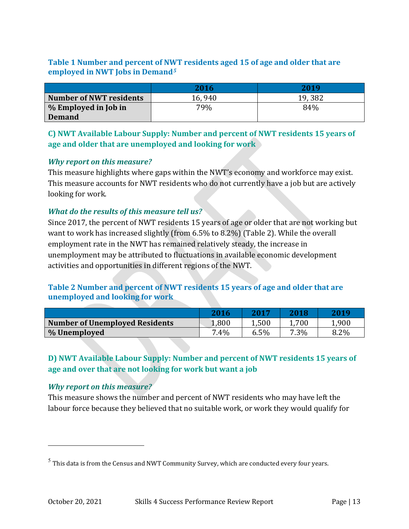## <span id="page-13-2"></span>**Table 1 Number and percent of NWT residents aged 15 of age and older that are employed in NWT Jobs in Demand***[5](#page-13-4)*

|                         | 2016   | 2019    |
|-------------------------|--------|---------|
| Number of NWT residents | 16,940 | 19, 382 |
| % Employed in Job in    | 79%    | 84%     |
| <b>Demand</b>           |        |         |

<span id="page-13-0"></span>**C) NWT Available Labour Supply: Number and percent of NWT residents 15 years of age and older that are unemployed and looking for work**

#### *Why report on this measure?*

This measure highlights where gaps within the NWT's economy and workforce may exist. This measure accounts for NWT residents who do not currently have a job but are actively looking for work.

#### *What do the results of this measure tell us?*

Since 2017, the percent of NWT residents 15 years of age or older that are not working but want to work has increased slightly (from 6.5% to 8.2%) (Table 2). While the overall employment rate in the NWT has remained relatively steady, the increase in unemployment may be attributed to fluctuations in available economic development activities and opportunities in different regions of the NWT.

#### <span id="page-13-3"></span>**Table 2 Number and percent of NWT residents 15 years of age and older that are unemployed and looking for work**

|                                       | 2016   | 2012  | 2018 | 2019  |
|---------------------------------------|--------|-------|------|-------|
| <b>Number of Unemployed Residents</b> | 008،∡  | 1,500 | .700 | 1,900 |
| % Unemployed                          | $.4\%$ | 6.5%  | 7.3% | 8.2%  |

## <span id="page-13-1"></span>**D) NWT Available Labour Supply: Number and percent of NWT residents 15 years of age and over that are not looking for work but want a job**

#### *Why report on this measure?*

i<br>I

This measure shows the number and percent of NWT residents who may have left the labour force because they believed that no suitable work, or work they would qualify for

<span id="page-13-4"></span> $<sup>5</sup>$  This data is from the Census and NWT Community Survey, which are conducted every four years.</sup>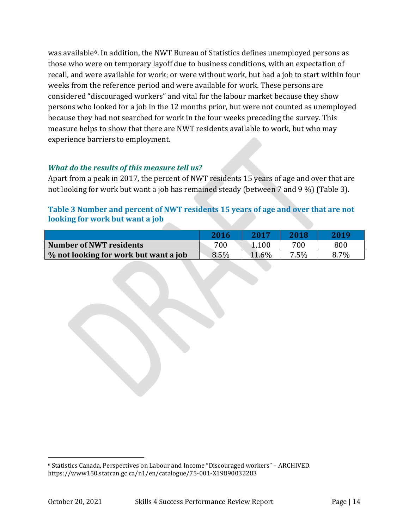was available<sup>6</sup>. In addition, the NWT Bureau of Statistics defines unemployed persons as those who were on temporary layoff due to business conditions, with an expectation of recall, and were available for work; or were without work, but had a job to start within four weeks from the reference period and were available for work. These persons are considered "discouraged workers" and vital for the labour market because they show persons who looked for a job in the 12 months prior, but were not counted as unemployed because they had not searched for work in the four weeks preceding the survey. This measure helps to show that there are NWT residents available to work, but who may experience barriers to employment.

## *What do the results of this measure tell us?*

Apart from a peak in 2017, the percent of NWT residents 15 years of age and over that are not looking for work but want a job has remained steady (between 7 and 9 %) (Table 3).

#### <span id="page-14-0"></span>**Table 3 Number and percent of NWT residents 15 years of age and over that are not looking for work but want a job**

|                                       | 2016 | 2017  | 2018    | 2019 |
|---------------------------------------|------|-------|---------|------|
| Number of NWT residents               | 700  | 1,100 | 700     | 800  |
| % not looking for work but want a job | 8.5% | 11.6% | $7.5\%$ | 8.7% |

<span id="page-14-1"></span> <sup>6</sup> Statistics Canada, Perspectives on Labour and Income "Discouraged workers" – ARCHIVED. https://www150.statcan.gc.ca/n1/en/catalogue/75-001-X19890032283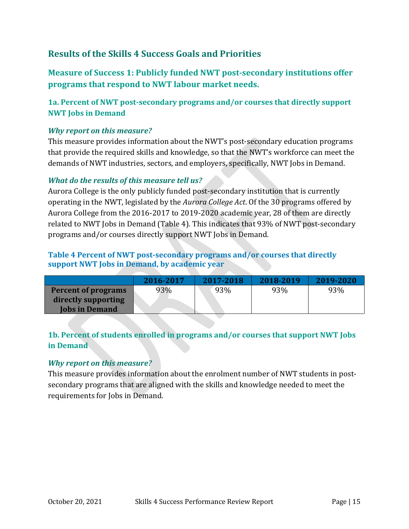# <span id="page-15-0"></span>**Results of the Skills 4 Success Goals and Priorities**

<span id="page-15-1"></span>**Measure of Success 1: Publicly funded NWT post-secondary institutions offer programs that respond to NWT labour market needs.**

## <span id="page-15-2"></span>**1a. Percent of NWT post-secondary programs and/or courses that directly support NWT Jobs in Demand**

#### *Why report on this measure?*

This measure provides information about the NWT's post-secondary education programs that provide the required skills and knowledge, so that the NWT's workforce can meet the demands of NWT industries, sectors, and employers, specifically, NWT Jobs in Demand.

#### *What do the results of this measure tell us?*

Aurora College is the only publicly funded post-secondary institution that is currently operating in the NWT, legislated by the *Aurora College Act*. Of the 30 programs offered by Aurora College from the 2016-2017 to 2019-2020 academic year, 28 of them are directly related to NWT Jobs in Demand (Table 4). This indicates that 93% of NWT post-secondary programs and/or courses directly support NWT Jobs in Demand.

## <span id="page-15-4"></span>**Table 4 Percent of NWT post-secondary programs and/or courses that directly support NWT Jobs in Demand, by academic year**

|                            | 2016-2017 | 2017-2018 | 2018-2019 | 2019-2020 |
|----------------------------|-----------|-----------|-----------|-----------|
| <b>Percent of programs</b> | 93%       | 93%       | 93%       | 93%       |
| directly supporting        |           |           |           |           |
| <b>Jobs in Demand</b>      |           |           |           |           |

## <span id="page-15-3"></span>**1b. Percent of students enrolled in programs and/or courses that support NWT Jobs in Demand**

#### *Why report on this measure?*

This measure provides information about the enrolment number of NWT students in postsecondary programs that are aligned with the skills and knowledge needed to meet the requirements for Jobs in Demand.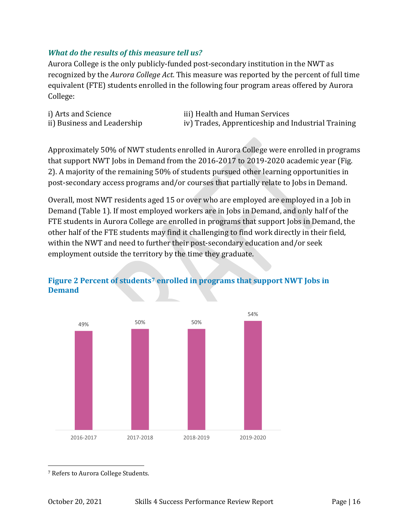#### *What do the results of this measure tell us?*

Aurora College is the only publicly-funded post-secondary institution in the NWT as recognized by the *Aurora College Act*. This measure was reported by the percent of full time equivalent (FTE) students enrolled in the following four program areas offered by Aurora College:

i) Arts and Science iii) Health and Human Services<br>ii) Business and Leadership iv) Trades, Apprenticeship and iv) Trades, Apprenticeship and Industrial Training

Approximately 50% of NWT students enrolled in Aurora College were enrolled in programs that support NWT Jobs in Demand from the 2016-2017 to 2019-2020 academic year (Fig. 2). A majority of the remaining 50% of students pursued other learning opportunities in post-secondary access programs and/or courses that partially relate to Jobs in Demand.

Overall, most NWT residents aged 15 or over who are employed are employed in a Job in Demand (Table 1). If most employed workers are in Jobs in Demand, and only half of the FTE students in Aurora College are enrolled in programs that support Jobs in Demand, the other half of the FTE students may find it challenging to find work directly in their field, within the NWT and need to further their post-secondary education and/or seek employment outside the territory by the time they graduate.



## <span id="page-16-0"></span>**Figure 2 Percent of students[7](#page-16-1) enrolled in programs that support NWT Jobs in Demand**

<span id="page-16-1"></span>7 Refers to Aurora College Students.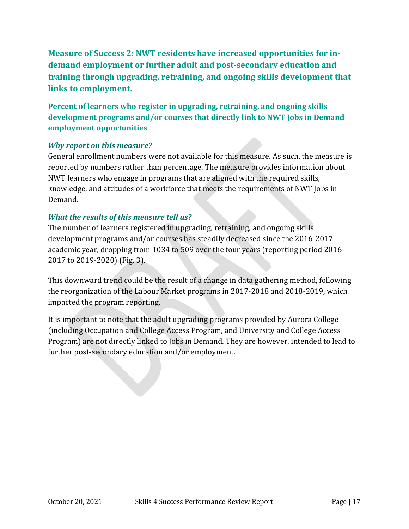<span id="page-17-0"></span>**Measure of Success 2: NWT residents have increased opportunities for indemand employment or further adult and post-secondary education and training through upgrading, retraining, and ongoing skills development that links to employment.**

<span id="page-17-1"></span>**Percent of learners who register in upgrading, retraining, and ongoing skills development programs and/or courses that directly link to NWT Jobs in Demand employment opportunities**

## *Why report on this measure?*

General enrollment numbers were not available for this measure. As such, the measure is reported by numbers rather than percentage. The measure provides information about NWT learners who engage in programs that are aligned with the required skills, knowledge, and attitudes of a workforce that meets the requirements of NWT Jobs in Demand.

## *What the results of this measure tell us?*

The number of learners registered in upgrading, retraining, and ongoing skills development programs and/or courses has steadily decreased since the 2016-2017 academic year, dropping from 1034 to 509 over the four years (reporting period 2016- 2017 to 2019-2020) (Fig. 3).

This downward trend could be the result of a change in data gathering method, following the reorganization of the Labour Market programs in 2017-2018 and 2018-2019, which impacted the program reporting.

It is important to note that the adult upgrading programs provided by Aurora College (including Occupation and College Access Program, and University and College Access Program) are not directly linked to Jobs in Demand. They are however, intended to lead to further post-secondary education and/or employment.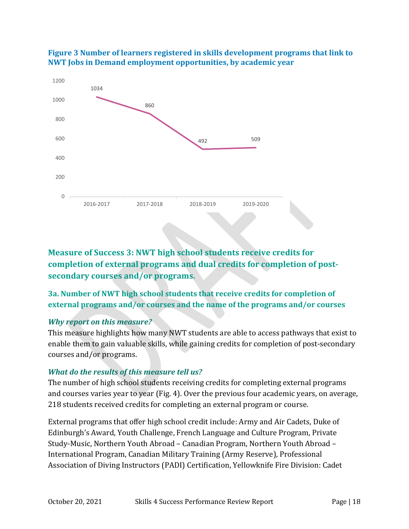

<span id="page-18-2"></span>

<span id="page-18-0"></span>**Measure of Success 3: NWT high school students receive credits for completion of external programs and dual credits for completion of postsecondary courses and/or programs.**

## <span id="page-18-1"></span>**3a. Number of NWT high school students that receive credits for completion of external programs and/or courses and the name of the programs and/or courses**

#### *Why report on this measure?*

This measure highlights how many NWT students are able to access pathways that exist to enable them to gain valuable skills, while gaining credits for completion of post-secondary courses and/or programs.

## *What do the results of this measure tell us?*

The number of high school students receiving credits for completing external programs and courses varies year to year (Fig. 4). Over the previous four academic years, on average, 218 students received credits for completing an external program or course.

External programs that offer high school credit include: Army and Air Cadets, Duke of Edinburgh's Award, Youth Challenge, French Language and Culture Program, Private Study-Music, Northern Youth Abroad – Canadian Program, Northern Youth Abroad – International Program, Canadian Military Training (Army Reserve), Professional Association of Diving Instructors (PADI) Certification, Yellowknife Fire Division: Cadet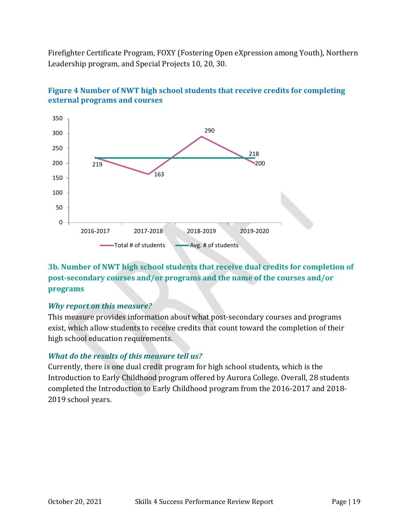Firefighter Certificate Program, FOXY (Fostering Open eXpression among Youth), Northern Leadership program, and Special Projects 10, 20, 30.



<span id="page-19-1"></span>

## <span id="page-19-0"></span>**3b. Number of NWT high school students that receive dual credits for completion of post-secondary courses and/or programs and the name of the courses and/or programs**

#### *Why report on this measure?*

This measure provides information about what post-secondary courses and programs exist, which allow students to receive credits that count toward the completion of their high school education requirements.

## *What do the results of this measure tell us?*

Currently, there is one dual credit program for high school students, which is the Introduction to Early Childhood program offered by Aurora College. Overall, 28 students completed the Introduction to Early Childhood program from the 2016-2017 and 2018- 2019 school years.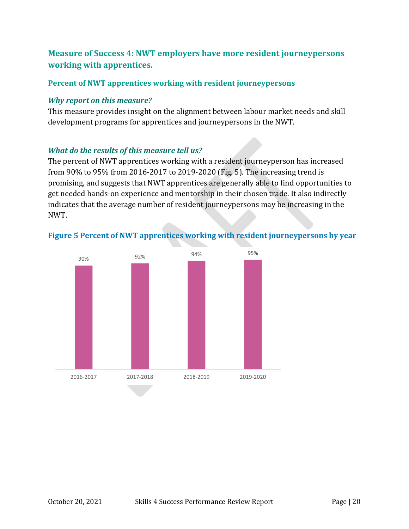# <span id="page-20-0"></span>**Measure of Success 4: NWT employers have more resident journeypersons working with apprentices.**

#### <span id="page-20-1"></span>**Percent of NWT apprentices working with resident journeypersons**

#### *Why report on this measure?*

This measure provides insight on the alignment between labour market needs and skill development programs for apprentices and journeypersons in the NWT.

## *What do the results of this measure tell us?*

The percent of NWT apprentices working with a resident journeyperson has increased from 90% to 95% from 2016-2017 to 2019-2020 (Fig. 5). The increasing trend is promising, and suggests that NWT apprentices are generally able to find opportunities to get needed hands-on experience and mentorship in their chosen trade. It also indirectly indicates that the average number of resident journeypersons may be increasing in the NWT.



## <span id="page-20-2"></span>**Figure 5 Percent of NWT apprentices working with resident journeypersons by year**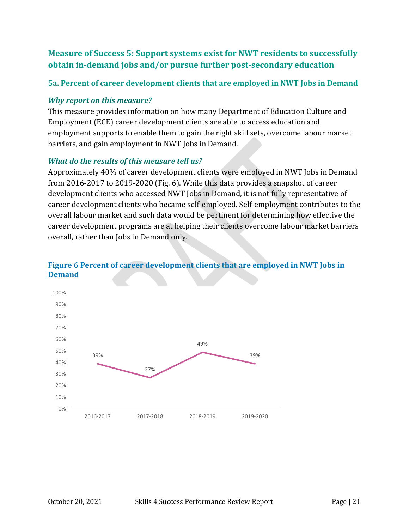# <span id="page-21-0"></span>**Measure of Success 5: Support systems exist for NWT residents to successfully obtain in-demand jobs and/or pursue further post-secondary education**

## <span id="page-21-1"></span>**5a. Percent of career development clients that are employed in NWT Jobs in Demand**

#### *Why report on this measure?*

This measure provides information on how many Department of Education Culture and Employment (ECE) career development clients are able to access education and employment supports to enable them to gain the right skill sets, overcome labour market barriers, and gain employment in NWT Jobs in Demand.

## *What do the results of this measure tell us?*

Approximately 40% of career development clients were employed in NWT Jobs in Demand from 2016-2017 to 2019-2020 (Fig. 6). While this data provides a snapshot of career development clients who accessed NWT Jobs in Demand, it is not fully representative of career development clients who became self-employed. Self-employment contributes to the overall labour market and such data would be pertinent for determining how effective the career development programs are at helping their clients overcome labour market barriers overall, rather than Jobs in Demand only.



## <span id="page-21-2"></span>**Figure 6 Percent of career development clients that are employed in NWT Jobs in Demand**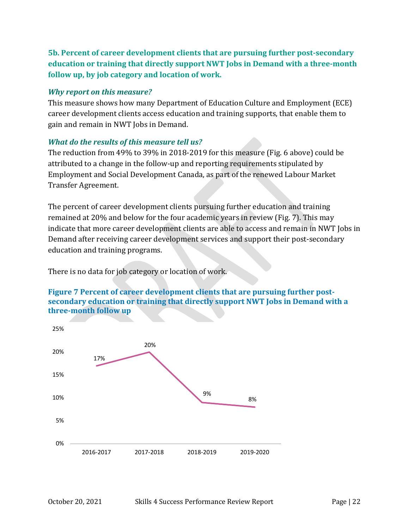<span id="page-22-0"></span>**5b. Percent of career development clients that are pursuing further post-secondary education or training that directly support NWT Jobs in Demand with a three-month follow up, by job category and location of work.**

#### *Why report on this measure?*

This measure shows how many Department of Education Culture and Employment (ECE) career development clients access education and training supports, that enable them to gain and remain in NWT Jobs in Demand.

## *What do the results of this measure tell us?*

The reduction from 49% to 39% in 2018-2019 for this measure (Fig. 6 above) could be attributed to a change in the follow-up and reporting requirements stipulated by Employment and Social Development Canada, as part of the renewed Labour Market Transfer Agreement.

The percent of career development clients pursuing further education and training remained at 20% and below for the four academic years in review (Fig. 7). This may indicate that more career development clients are able to access and remain in NWT Jobs in Demand after receiving career development services and support their post-secondary education and training programs.

There is no data for job category or location of work.

#### <span id="page-22-1"></span>**Figure 7 Percent of career development clients that are pursuing further postsecondary education or training that directly support NWT Jobs in Demand with a three-month follow up**

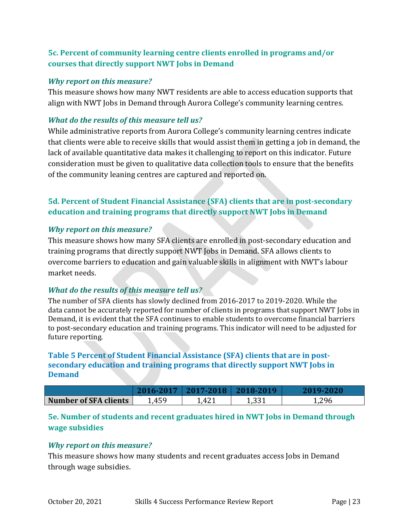## <span id="page-23-0"></span>**5c. Percent of community learning centre clients enrolled in programs and/or courses that directly support NWT Jobs in Demand**

#### *Why report on this measure?*

This measure shows how many NWT residents are able to access education supports that align with NWT Jobs in Demand through Aurora College's community learning centres.

#### *What do the results of this measure tell us?*

While administrative reports from Aurora College's community learning centres indicate that clients were able to receive skills that would assist them in getting a job in demand, the lack of available quantitative data makes it challenging to report on this indicator. Future consideration must be given to qualitative data collection tools to ensure that the benefits of the community leaning centres are captured and reported on.

## <span id="page-23-1"></span>**5d. Percent of Student Financial Assistance (SFA) clients that are in post-secondary education and training programs that directly support NWT Jobs in Demand**

#### *Why report on this measure?*

This measure shows how many SFA clients are enrolled in post-secondary education and training programs that directly support NWT Jobs in Demand. SFA allows clients to overcome barriers to education and gain valuable skills in alignment with NWT's labour market needs.

#### *What do the results of this measure tell us?*

The number of SFA clients has slowly declined from 2016-2017 to 2019-2020. While the data cannot be accurately reported for number of clients in programs that support NWT Jobs in Demand, it is evident that the SFA continues to enable students to overcome financial barriers to post-secondary education and training programs. This indicator will need to be adjusted for future reporting.

## <span id="page-23-3"></span>**Table 5 Percent of Student Financial Assistance (SFA) clients that are in postsecondary education and training programs that directly support NWT Jobs in Demand**

| <b>Number of SFA clients</b> | 459<br>. . IJ . | 1,421 | 221<br>ᆂ, JJI | 1,296 |
|------------------------------|-----------------|-------|---------------|-------|

## <span id="page-23-2"></span>**5e. Number of students and recent graduates hired in NWT Jobs in Demand through wage subsidies**

#### *Why report on this measure?*

This measure shows how many students and recent graduates access Jobs in Demand through wage subsidies.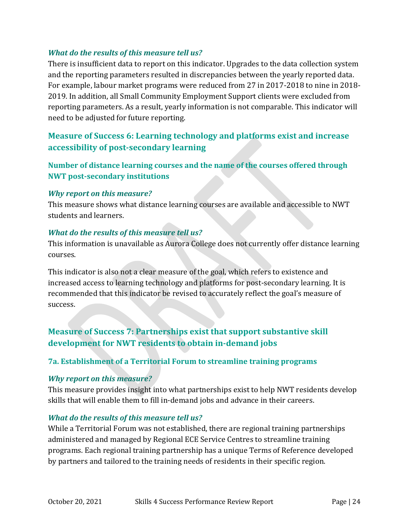### *What do the results of this measure tell us?*

There is insufficient data to report on this indicator. Upgrades to the data collection system and the reporting parameters resulted in discrepancies between the yearly reported data. For example, labour market programs were reduced from 27 in 2017-2018 to nine in 2018- 2019. In addition, all Small Community Employment Support clients were excluded from reporting parameters. As a result, yearly information is not comparable. This indicator will need to be adjusted for future reporting.

## <span id="page-24-0"></span>**Measure of Success 6: Learning technology and platforms exist and increase accessibility of post-secondary learning**

<span id="page-24-1"></span>**Number of distance learning courses and the name of the courses offered through NWT post-secondary institutions**

#### *Why report on this measure?*

This measure shows what distance learning courses are available and accessible to NWT students and learners.

#### *What do the results of this measure tell us?*

This information is unavailable as Aurora College does not currently offer distance learning courses.

This indicator is also not a clear measure of the goal, which refers to existence and increased access to learning technology and platforms for post-secondary learning. It is recommended that this indicator be revised to accurately reflect the goal's measure of success.

# <span id="page-24-2"></span>**Measure of Success 7: Partnerships exist that support substantive skill development for NWT residents to obtain in-demand jobs**

## <span id="page-24-3"></span>**7a. Establishment of a Territorial Forum to streamline training programs**

#### *Why report on this measure?*

This measure provides insight into what partnerships exist to help NWT residents develop skills that will enable them to fill in-demand jobs and advance in their careers.

#### *What do the results of this measure tell us?*

While a Territorial Forum was not established, there are regional training partnerships administered and managed by Regional ECE Service Centres to streamline training programs. Each regional training partnership has a unique Terms of Reference developed by partners and tailored to the training needs of residents in their specific region.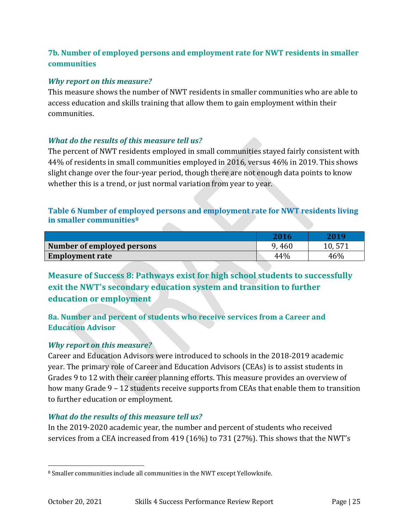## <span id="page-25-0"></span>**7b. Number of employed persons and employment rate for NWT residents in smaller communities**

#### *Why report on this measure?*

This measure shows the number of NWT residents in smaller communities who are able to access education and skills training that allow them to gain employment within their communities.

## *What do the results of this measure tell us?*

The percent of NWT residents employed in small communities stayed fairly consistent with 44% of residents in small communities employed in 2016, versus 46% in 2019. This shows slight change over the four-year period, though there are not enough data points to know whether this is a trend, or just normal variation from year to year.

### <span id="page-25-3"></span>**Table 6 Number of employed persons and employment rate for NWT residents living in smaller communities[8](#page-25-4)**

|                            | 2016  | 2019   |
|----------------------------|-------|--------|
| Number of employed persons | 9,460 | 10,571 |
| <b>Employment rate</b>     | 44%   | 46%    |

<span id="page-25-1"></span>**Measure of Success 8: Pathways exist for high school students to successfully exit the NWT's secondary education system and transition to further education or employment**

<span id="page-25-2"></span>**8a. Number and percent of students who receive services from a Career and Education Advisor**

#### *Why report on this measure?*

Career and Education Advisors were introduced to schools in the 2018-2019 academic year. The primary role of Career and Education Advisors (CEAs) is to assist students in Grades 9 to 12 with their career planning efforts. This measure provides an overview of how many Grade 9 – 12 students receive supports from CEAs that enable them to transition to further education or employment.

## *What do the results of this measure tell us?*

In the 2019-2020 academic year, the number and percent of students who received services from a CEA increased from 419 (16%) to 731 (27%). This shows that the NWT's

<span id="page-25-4"></span> <sup>8</sup> Smaller communities include all communities in the NWT except Yellowknife.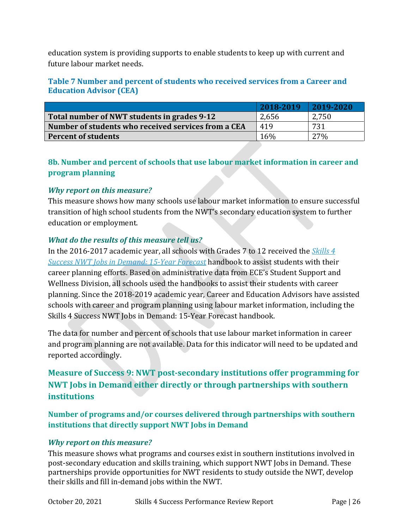education system is providing supports to enable students to keep up with current and future labour market needs.

#### <span id="page-26-3"></span>**Table 7 Number and percent of students who received services from a Career and Education Advisor (CEA)**

|                                                     | 2018-2019 | 2019-2020 |
|-----------------------------------------------------|-----------|-----------|
| Total number of NWT students in grades 9-12         | 2,656     | 2,750     |
| Number of students who received services from a CEA | 419       | 731       |
| <b>Percent of students</b>                          | 16%       | 27%       |

## <span id="page-26-0"></span>**8b. Number and percent of schools that use labour market information in career and program planning**

#### *Why report on this measure?*

This measure shows how many schools use labour market information to ensure successful transition of high school students from the NWT's secondary education system to further education or employment.

#### *What do the results of this measure tell us?*

In the 2016-2017 academic year, all schools with Grades 7 to 12 received the *[Skills 4](https://www.ece.gov.nt.ca/sites/ece/files/resources/2019-09-12_s4shandbookupdated2019.pdf)  [Success NWT Jobs in Demand: 15-Year Forecast](https://www.ece.gov.nt.ca/sites/ece/files/resources/2019-09-12_s4shandbookupdated2019.pdf)* handbook to assist students with their career planning efforts. Based on administrative data from ECE's Student Support and Wellness Division, all schools used the handbooks to assist their students with career planning. Since the 2018-2019 academic year, Career and Education Advisors have assisted schools with career and program planning using labour market information, including the Skills 4 Success NWT Jobs in Demand: 15-Year Forecast handbook.

The data for number and percent of schools that use labour market information in career and program planning are not available. Data for this indicator will need to be updated and reported accordingly.

# <span id="page-26-1"></span>**Measure of Success 9: NWT post-secondary institutions offer programming for NWT Jobs in Demand either directly or through partnerships with southern institutions**

<span id="page-26-2"></span>**Number of programs and/or courses delivered through partnerships with southern institutions that directly support NWT Jobs in Demand**

#### *Why report on this measure?*

This measure shows what programs and courses exist in southern institutions involved in post-secondary education and skills training, which support NWT Jobs in Demand. These partnerships provide opportunities for NWT residents to study outside the NWT, develop their skills and fill in-demand jobs within the NWT.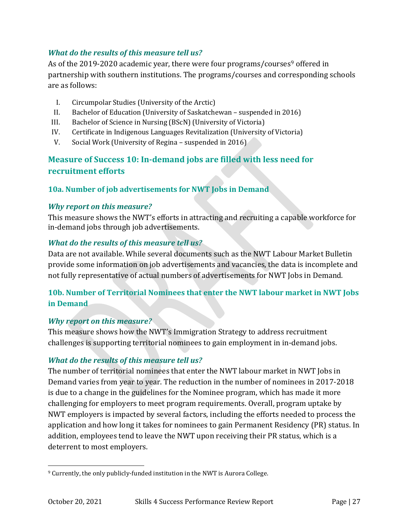## *What do the results of this measure tell us?*

As of the 201[9](#page-27-3)-2020 academic year, there were four programs/courses<sup>9</sup> offered in partnership with southern institutions. The programs/courses and corresponding schools are as follows:

- I. Circumpolar Studies (University of the Arctic)
- II. Bachelor of Education (University of Saskatchewan suspended in 2016)
- III. Bachelor of Science in Nursing (BScN) (University of Victoria)
- IV. Certificate in Indigenous Languages Revitalization (University of Victoria)
- V. Social Work (University of Regina suspended in 2016)

# <span id="page-27-0"></span>**Measure of Success 10: In-demand jobs are filled with less need for recruitment efforts**

## <span id="page-27-1"></span>**10a. Number of job advertisements for NWT Jobs in Demand**

#### *Why report on this measure?*

This measure shows the NWT's efforts in attracting and recruiting a capable workforce for in-demand jobs through job advertisements.

## *What do the results of this measure tell us?*

Data are not available. While several documents such as the NWT Labour Market Bulletin provide some information on job advertisements and vacancies, the data is incomplete and not fully representative of actual numbers of advertisements for NWT Jobs in Demand*.*

## <span id="page-27-2"></span>**10b. Number of Territorial Nominees that enter the NWT labour market in NWT Jobs in Demand**

#### *Why report on this measure?*

This measure shows how the NWT's Immigration Strategy to address recruitment challenges is supporting territorial nominees to gain employment in in-demand jobs.

## *What do the results of this measure tell us?*

The number of territorial nominees that enter the NWT labour market in NWT Jobs in Demand varies from year to year. The reduction in the number of nominees in 2017-2018 is due to a change in the guidelines for the Nominee program, which has made it more challenging for employers to meet program requirements. Overall, program uptake by NWT employers is impacted by several factors, including the efforts needed to process the application and how long it takes for nominees to gain Permanent Residency (PR) status. In addition, employees tend to leave the NWT upon receiving their PR status, which is a deterrent to most employers.

<span id="page-27-3"></span> <sup>9</sup> Currently, the only publicly-funded institution in the NWT is Aurora College.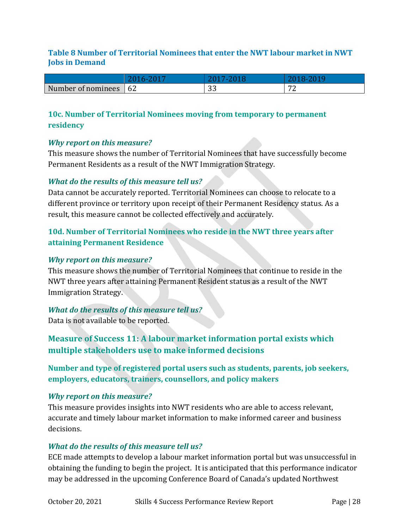#### <span id="page-28-4"></span>**Table 8 Number of Territorial Nominees that enter the NWT labour market in NWT Jobs in Demand**

| Number      | $\sim$ | $\sim$ | $\mathbf{r}$ |
|-------------|--------|--------|--------------|
| of nominees | 04     | ັບ     |              |

## <span id="page-28-0"></span>**10c. Number of Territorial Nominees moving from temporary to permanent residency**

#### *Why report on this measure?*

This measure shows the number of Territorial Nominees that have successfully become Permanent Residents as a result of the NWT Immigration Strategy.

## *What do the results of this measure tell us?*

Data cannot be accurately reported. Territorial Nominees can choose to relocate to a different province or territory upon receipt of their Permanent Residency status. As a result, this measure cannot be collected effectively and accurately.

## <span id="page-28-1"></span>**10d. Number of Territorial Nominees who reside in the NWT three years after attaining Permanent Residence**

#### *Why report on this measure?*

This measure shows the number of Territorial Nominees that continue to reside in the NWT three years after attaining Permanent Resident status as a result of the NWT Immigration Strategy.

#### *What do the results of this measure tell us?*

Data is not available to be reported.

# <span id="page-28-2"></span>**Measure of Success 11: A labour market information portal exists which multiple stakeholders use to make informed decisions**

<span id="page-28-3"></span>**Number and type of registered portal users such as students, parents, job seekers, employers, educators, trainers, counsellors, and policy makers**

#### *Why report on this measure?*

This measure provides insights into NWT residents who are able to access relevant, accurate and timely labour market information to make informed career and business decisions.

#### *What do the results of this measure tell us?*

ECE made attempts to develop a labour market information portal but was unsuccessful in obtaining the funding to begin the project. It is anticipated that this performance indicator may be addressed in the upcoming Conference Board of Canada's updated Northwest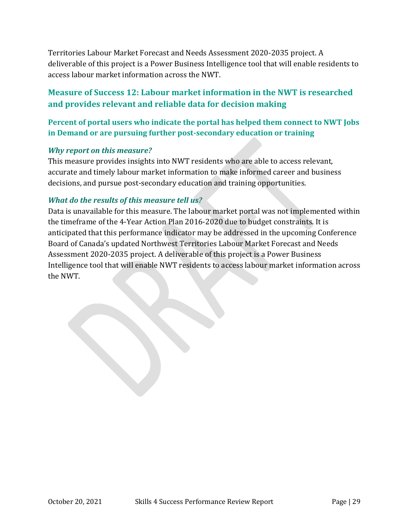Territories Labour Market Forecast and Needs Assessment 2020-2035 project. A deliverable of this project is a Power Business Intelligence tool that will enable residents to access labour market information across the NWT.

# <span id="page-29-0"></span>**Measure of Success 12: Labour market information in the NWT is researched and provides relevant and reliable data for decision making**

## <span id="page-29-1"></span>**Percent of portal users who indicate the portal has helped them connect to NWT Jobs in Demand or are pursuing further post-secondary education or training**

#### *Why report on this measure?*

This measure provides insights into NWT residents who are able to access relevant, accurate and timely labour market information to make informed career and business decisions, and pursue post-secondary education and training opportunities.

#### *What do the results of this measure tell us?*

Data is unavailable for this measure. The labour market portal was not implemented within the timeframe of the 4-Year Action Plan 2016-2020 due to budget constraints. It is anticipated that this performance indicator may be addressed in the upcoming Conference Board of Canada's updated Northwest Territories Labour Market Forecast and Needs Assessment 2020-2035 project. A deliverable of this project is a Power Business Intelligence tool that will enable NWT residents to access labour market information across the NWT.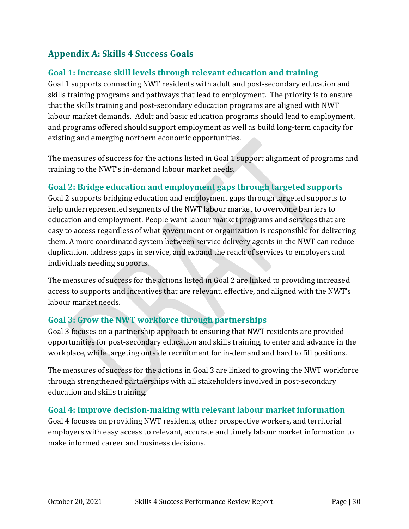# <span id="page-30-0"></span>**Appendix A: Skills 4 Success Goals**

# <span id="page-30-1"></span>**Goal 1: Increase skill levels through relevant education and training**

Goal 1 supports connecting NWT residents with adult and post-secondary education and skills training programs and pathways that lead to employment. The priority is to ensure that the skills training and post-secondary education programs are aligned with NWT labour market demands. Adult and basic education programs should lead to employment, and programs offered should support employment as well as build long-term capacity for existing and emerging northern economic opportunities.

The measures of success for the actions listed in Goal 1 support alignment of programs and training to the NWT's in-demand labour market needs.

## <span id="page-30-2"></span>**Goal 2: Bridge education and employment gaps through targeted supports**

Goal 2 supports bridging education and employment gaps through targeted supports to help underrepresented segments of the NWT labour market to overcome barriers to education and employment. People want labour market programs and services that are easy to access regardless of what government or organization is responsible for delivering them. A more coordinated system between service delivery agents in the NWT can reduce duplication, address gaps in service, and expand the reach of services to employers and individuals needing supports.

The measures of success for the actions listed in Goal 2 are linked to providing increased access to supports and incentives that are relevant, effective, and aligned with the NWT's labour market needs.

## <span id="page-30-3"></span>**Goal 3: Grow the NWT workforce through partnerships**

Goal 3 focuses on a partnership approach to ensuring that NWT residents are provided opportunities for post-secondary education and skills training, to enter and advance in the workplace, while targeting outside recruitment for in-demand and hard to fill positions.

The measures of success for the actions in Goal 3 are linked to growing the NWT workforce through strengthened partnerships with all stakeholders involved in post-secondary education and skills training.

## <span id="page-30-4"></span>**Goal 4: Improve decision-making with relevant labour market information**

Goal 4 focuses on providing NWT residents, other prospective workers, and territorial employers with easy access to relevant, accurate and timely labour market information to make informed career and business decisions.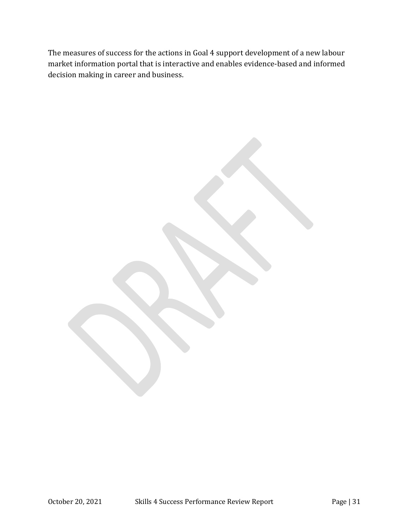The measures of success for the actions in Goal 4 support development of a new labour market information portal that is interactive and enables evidence-based and informed decision making in career and business.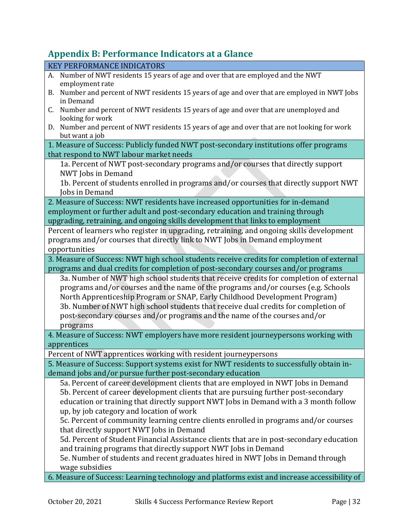# <span id="page-32-0"></span>**Appendix B: Performance Indicators at a Glance**

| <b>KEY PERFORMANCE INDICATORS</b>                                                                |  |  |
|--------------------------------------------------------------------------------------------------|--|--|
| A. Number of NWT residents 15 years of age and over that are employed and the NWT                |  |  |
| employment rate                                                                                  |  |  |
| Number and percent of NWT residents 15 years of age and over that are employed in NWT Jobs<br>B. |  |  |
| in Demand                                                                                        |  |  |
| Number and percent of NWT residents 15 years of age and over that are unemployed and<br>C.       |  |  |
| looking for work                                                                                 |  |  |
| D. Number and percent of NWT residents 15 years of age and over that are not looking for work    |  |  |
| but want a job                                                                                   |  |  |
| 1. Measure of Success: Publicly funded NWT post-secondary institutions offer programs            |  |  |
| that respond to NWT labour market needs                                                          |  |  |
| 1a. Percent of NWT post-secondary programs and/or courses that directly support                  |  |  |
| NWT Jobs in Demand                                                                               |  |  |
| 1b. Percent of students enrolled in programs and/or courses that directly support NWT            |  |  |
| Jobs in Demand                                                                                   |  |  |
| 2. Measure of Success: NWT residents have increased opportunities for in-demand                  |  |  |
| employment or further adult and post-secondary education and training through                    |  |  |
| upgrading, retraining, and ongoing skills development that links to employment                   |  |  |
| Percent of learners who register in upgrading, retraining, and ongoing skills development        |  |  |
| programs and/or courses that directly link to NWT Jobs in Demand employment                      |  |  |
| opportunities                                                                                    |  |  |
| 3. Measure of Success: NWT high school students receive credits for completion of external       |  |  |
| programs and dual credits for completion of post-secondary courses and/or programs               |  |  |
| 3a. Number of NWT high school students that receive credits for completion of external           |  |  |
| programs and/or courses and the name of the programs and/or courses (e.g. Schools                |  |  |
| North Apprenticeship Program or SNAP, Early Childhood Development Program)                       |  |  |
| 3b. Number of NWT high school students that receive dual credits for completion of               |  |  |
| post-secondary courses and/or programs and the name of the courses and/or                        |  |  |
| programs                                                                                         |  |  |
| 4. Measure of Success: NWT employers have more resident journeypersons working with              |  |  |
| apprentices                                                                                      |  |  |
| Percent of NWT apprentices working with resident journeypersons                                  |  |  |
| 5. Measure of Success: Support systems exist for NWT residents to successfully obtain in-        |  |  |
| demand jobs and/or pursue further post-secondary education                                       |  |  |
| 5a. Percent of career development clients that are employed in NWT Jobs in Demand                |  |  |
| 5b. Percent of career development clients that are pursuing further post-secondary               |  |  |
|                                                                                                  |  |  |
| education or training that directly support NWT Jobs in Demand with a 3 month follow             |  |  |
| up, by job category and location of work                                                         |  |  |
| 5c. Percent of community learning centre clients enrolled in programs and/or courses             |  |  |
| that directly support NWT Jobs in Demand                                                         |  |  |
| 5d. Percent of Student Financial Assistance clients that are in post-secondary education         |  |  |
| and training programs that directly support NWT Jobs in Demand                                   |  |  |
| 5e. Number of students and recent graduates hired in NWT Jobs in Demand through                  |  |  |
| wage subsidies                                                                                   |  |  |
| 6. Measure of Success: Learning technology and platforms exist and increase accessibility of     |  |  |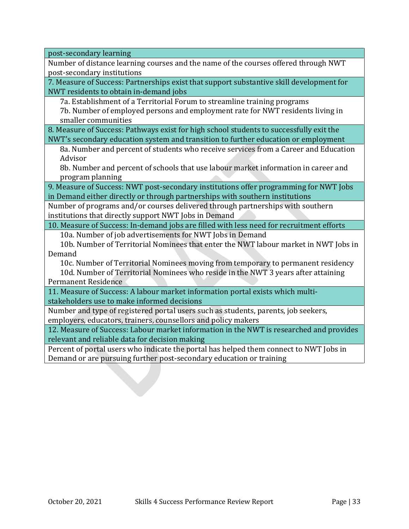post-secondary learning

Number of distance learning courses and the name of the courses offered through NWT post-secondary institutions

7. Measure of Success: Partnerships exist that support substantive skill development for NWT residents to obtain in-demand jobs

7a. Establishment of a Territorial Forum to streamline training programs

7b. Number of employed persons and employment rate for NWT residents living in smaller communities

8. Measure of Success: Pathways exist for high school students to successfully exit the NWT's secondary education system and transition to further education or employment

8a. Number and percent of students who receive services from a Career and Education Advisor

8b. Number and percent of schools that use labour market information in career and program planning

9. Measure of Success: NWT post-secondary institutions offer programming for NWT Jobs in Demand either directly or through partnerships with southern institutions

Number of programs and/or courses delivered through partnerships with southern institutions that directly support NWT Jobs in Demand

10. Measure of Success: In-demand jobs are filled with less need for recruitment efforts

10a. Number of job advertisements for NWT Jobs in Demand

10b. Number of Territorial Nominees that enter the NWT labour market in NWT Jobs in Demand

10c. Number of Territorial Nominees moving from temporary to permanent residency 10d. Number of Territorial Nominees who reside in the NWT 3 years after attaining Permanent Residence

11. Measure of Success: A labour market information portal exists which multistakeholders use to make informed decisions

Number and type of registered portal users such as students, parents, job seekers, employers, educators, trainers, counsellors and policy makers

12. Measure of Success: Labour market information in the NWT is researched and provides relevant and reliable data for decision making

Percent of portal users who indicate the portal has helped them connect to NWT Jobs in Demand or are pursuing further post-secondary education or training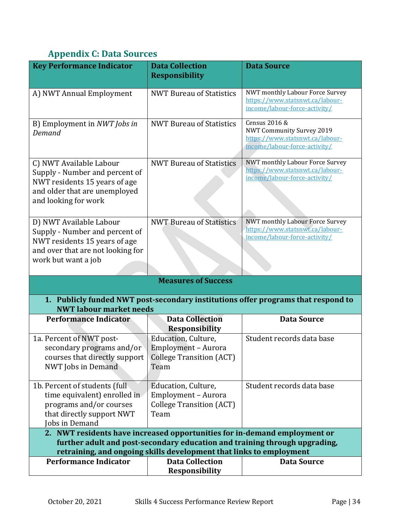# <span id="page-34-0"></span>**Appendix C: Data Sources**

| <b>Key Performance Indicator</b>                                                                                                                                                                                               | <b>Data Collection</b><br><b>Responsibility</b>                                       | <b>Data Source</b>                                                                                                    |  |
|--------------------------------------------------------------------------------------------------------------------------------------------------------------------------------------------------------------------------------|---------------------------------------------------------------------------------------|-----------------------------------------------------------------------------------------------------------------------|--|
| A) NWT Annual Employment                                                                                                                                                                                                       | <b>NWT Bureau of Statistics</b>                                                       | NWT monthly Labour Force Survey<br>https://www.statsnwt.ca/labour-<br>income/labour-force-activity/                   |  |
| B) Employment in NWT Jobs in<br>Demand                                                                                                                                                                                         | <b>NWT Bureau of Statistics</b>                                                       | Census 2016 &<br><b>NWT Community Survey 2019</b><br>https://www.statsnwt.ca/labour-<br>income/labour-force-activity/ |  |
| C) NWT Available Labour<br>Supply - Number and percent of<br>NWT residents 15 years of age<br>and older that are unemployed<br>and looking for work                                                                            | <b>NWT Bureau of Statistics</b>                                                       | NWT monthly Labour Force Survey<br>https://www.statsnwt.ca/labour-<br>income/labour-force-activity/                   |  |
| D) NWT Available Labour<br>Supply - Number and percent of<br>NWT residents 15 years of age<br>and over that are not looking for<br>work but want a job                                                                         | <b>NWT Bureau of Statistics</b>                                                       | NWT monthly Labour Force Survey<br>https://www.statsnwt.ca/labour-<br>income/labour-force-activity/                   |  |
| <b>Measures of Success</b>                                                                                                                                                                                                     |                                                                                       |                                                                                                                       |  |
| <b>NWT labour market needs</b>                                                                                                                                                                                                 |                                                                                       | 1. Publicly funded NWT post-secondary institutions offer programs that respond to                                     |  |
| <b>Performance Indicator</b>                                                                                                                                                                                                   | <b>Data Collection</b><br><b>Responsibility</b>                                       | <b>Data Source</b>                                                                                                    |  |
| 1a. Percent of NWT post-<br>secondary programs and/or<br>courses that directly support<br><b>NWT</b> Jobs in Demand                                                                                                            | Education, Culture,<br>Employment - Aurora<br><b>College Transition (ACT)</b><br>Team | Student records data base                                                                                             |  |
| 1b. Percent of students (full<br>time equivalent) enrolled in<br>programs and/or courses<br>that directly support NWT<br>Jobs in Demand                                                                                        | Education, Culture,<br>Employment - Aurora<br><b>College Transition (ACT)</b><br>Team | Student records data base                                                                                             |  |
| 2. NWT residents have increased opportunities for in-demand employment or<br>further adult and post-secondary education and training through upgrading,<br>retraining, and ongoing skills development that links to employment |                                                                                       |                                                                                                                       |  |
| <b>Performance Indicator</b>                                                                                                                                                                                                   | <b>Data Collection</b><br><b>Responsibility</b>                                       | <b>Data Source</b>                                                                                                    |  |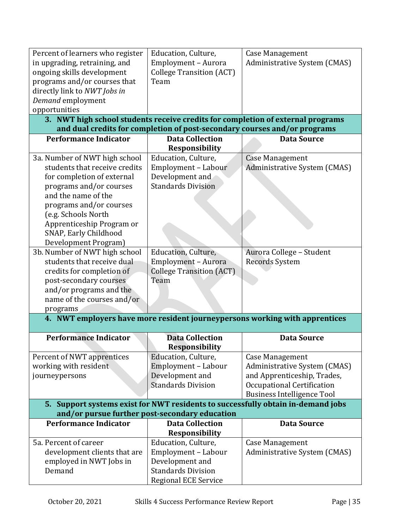| Percent of learners who register<br>in upgrading, retraining, and<br>ongoing skills development<br>programs and/or courses that<br>directly link to NWT Jobs in<br>Demand employment<br>opportunities                                                                                                                                                                                                                                                         | Education, Culture,<br>Employment - Aurora<br><b>College Transition (ACT)</b><br>Team                                                                                               | Case Management<br>Administrative System (CMAS)                                                                                                          |  |
|---------------------------------------------------------------------------------------------------------------------------------------------------------------------------------------------------------------------------------------------------------------------------------------------------------------------------------------------------------------------------------------------------------------------------------------------------------------|-------------------------------------------------------------------------------------------------------------------------------------------------------------------------------------|----------------------------------------------------------------------------------------------------------------------------------------------------------|--|
|                                                                                                                                                                                                                                                                                                                                                                                                                                                               |                                                                                                                                                                                     | 3. NWT high school students receive credits for completion of external programs                                                                          |  |
|                                                                                                                                                                                                                                                                                                                                                                                                                                                               | and dual credits for completion of post-secondary courses and/or programs                                                                                                           |                                                                                                                                                          |  |
| <b>Performance Indicator</b>                                                                                                                                                                                                                                                                                                                                                                                                                                  | <b>Data Collection</b><br><b>Responsibility</b>                                                                                                                                     | <b>Data Source</b>                                                                                                                                       |  |
| 3a. Number of NWT high school<br>students that receive credits<br>for completion of external<br>programs and/or courses<br>and the name of the<br>programs and/or courses<br>(e.g. Schools North<br>Apprenticeship Program or<br>SNAP, Early Childhood<br>Development Program)<br>3b. Number of NWT high school<br>students that receive dual<br>credits for completion of<br>post-secondary courses<br>and/or programs and the<br>name of the courses and/or | Education, Culture,<br>Employment - Labour<br>Development and<br><b>Standards Division</b><br>Education, Culture,<br>Employment - Aurora<br><b>College Transition (ACT)</b><br>Team | <b>Case Management</b><br>Administrative System (CMAS)<br>Aurora College - Student<br><b>Records System</b>                                              |  |
| programs<br>4. NWT employers have more resident journeypersons working with apprentices                                                                                                                                                                                                                                                                                                                                                                       |                                                                                                                                                                                     |                                                                                                                                                          |  |
| <b>Performance Indicator</b>                                                                                                                                                                                                                                                                                                                                                                                                                                  | <b>Data Collection</b><br>Responsibility                                                                                                                                            | <b>Data Source</b>                                                                                                                                       |  |
| Percent of NWT apprentices<br>working with resident<br>journeypersons                                                                                                                                                                                                                                                                                                                                                                                         | Education, Culture,<br>Employment - Labour<br>Development and<br><b>Standards Division</b>                                                                                          | <b>Case Management</b><br>Administrative System (CMAS)<br>and Apprenticeship, Trades,<br>Occupational Certification<br><b>Business Intelligence Tool</b> |  |
| 5. Support systems exist for NWT residents to successfully obtain in-demand jobs<br>and/or pursue further post-secondary education                                                                                                                                                                                                                                                                                                                            |                                                                                                                                                                                     |                                                                                                                                                          |  |
| <b>Performance Indicator</b>                                                                                                                                                                                                                                                                                                                                                                                                                                  | <b>Data Collection</b>                                                                                                                                                              | <b>Data Source</b>                                                                                                                                       |  |
|                                                                                                                                                                                                                                                                                                                                                                                                                                                               | <b>Responsibility</b>                                                                                                                                                               |                                                                                                                                                          |  |
| 5a. Percent of career<br>development clients that are<br>employed in NWT Jobs in<br>Demand                                                                                                                                                                                                                                                                                                                                                                    | Education, Culture,<br>Employment - Labour<br>Development and<br><b>Standards Division</b><br><b>Regional ECE Service</b>                                                           | <b>Case Management</b><br>Administrative System (CMAS)                                                                                                   |  |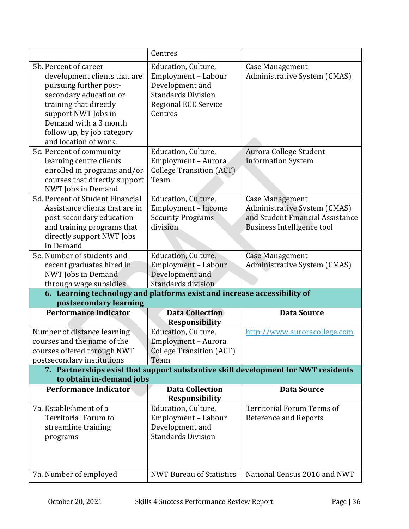|                                                                                                                                                                                                                                            | Centres                                                                                                                              |                                                                                                                                 |
|--------------------------------------------------------------------------------------------------------------------------------------------------------------------------------------------------------------------------------------------|--------------------------------------------------------------------------------------------------------------------------------------|---------------------------------------------------------------------------------------------------------------------------------|
| 5b. Percent of career<br>development clients that are<br>pursuing further post-<br>secondary education or<br>training that directly<br>support NWT Jobs in<br>Demand with a 3 month<br>follow up, by job category<br>and location of work. | Education, Culture,<br>Employment - Labour<br>Development and<br><b>Standards Division</b><br><b>Regional ECE Service</b><br>Centres | Case Management<br>Administrative System (CMAS)                                                                                 |
| 5c. Percent of community<br>learning centre clients<br>enrolled in programs and/or<br>courses that directly support<br>NWT Jobs in Demand                                                                                                  | Education, Culture,<br>Employment - Aurora<br><b>College Transition (ACT)</b><br>Team                                                | Aurora College Student<br><b>Information System</b>                                                                             |
| 5d. Percent of Student Financial<br>Assistance clients that are in<br>post-secondary education<br>and training programs that<br>directly support NWT Jobs<br>in Demand                                                                     | Education, Culture,<br>Employment - Income<br><b>Security Programs</b><br>division                                                   | <b>Case Management</b><br>Administrative System (CMAS)<br>and Student Financial Assistance<br><b>Business Intelligence tool</b> |
| 5e. Number of students and                                                                                                                                                                                                                 | Education, Culture,                                                                                                                  | <b>Case Management</b>                                                                                                          |
| recent graduates hired in                                                                                                                                                                                                                  | Employment - Labour                                                                                                                  | Administrative System (CMAS)                                                                                                    |
| NWT Jobs in Demand                                                                                                                                                                                                                         | Development and                                                                                                                      |                                                                                                                                 |
| through wage subsidies                                                                                                                                                                                                                     | Standards division                                                                                                                   |                                                                                                                                 |
| 6. Learning technology and platforms exist and increase accessibility of<br>postsecondary learning                                                                                                                                         |                                                                                                                                      |                                                                                                                                 |
| <b>Performance Indicator</b>                                                                                                                                                                                                               | <b>Data Collection</b>                                                                                                               | <b>Data Source</b>                                                                                                              |
|                                                                                                                                                                                                                                            | <b>Responsibility</b>                                                                                                                |                                                                                                                                 |
| Number of distance learning                                                                                                                                                                                                                |                                                                                                                                      |                                                                                                                                 |
|                                                                                                                                                                                                                                            | Education, Culture,                                                                                                                  | http://www.auroracollege.com                                                                                                    |
| courses and the name of the                                                                                                                                                                                                                | Employment - Aurora                                                                                                                  |                                                                                                                                 |
| courses offered through NWT                                                                                                                                                                                                                | <b>College Transition (ACT)</b>                                                                                                      |                                                                                                                                 |
| postsecondary institutions                                                                                                                                                                                                                 | Team                                                                                                                                 |                                                                                                                                 |
|                                                                                                                                                                                                                                            |                                                                                                                                      | 7. Partnerships exist that support substantive skill development for NWT residents                                              |
| to obtain in-demand jobs                                                                                                                                                                                                                   |                                                                                                                                      |                                                                                                                                 |
| Performance Indicator                                                                                                                                                                                                                      | <b>Data Collection</b>                                                                                                               | <b>Data Source</b>                                                                                                              |
|                                                                                                                                                                                                                                            | <b>Responsibility</b>                                                                                                                |                                                                                                                                 |
| 7a. Establishment of a                                                                                                                                                                                                                     | Education, Culture,                                                                                                                  | Territorial Forum Terms of                                                                                                      |
| <b>Territorial Forum to</b>                                                                                                                                                                                                                | Employment - Labour                                                                                                                  | <b>Reference and Reports</b>                                                                                                    |
| streamline training                                                                                                                                                                                                                        | Development and                                                                                                                      |                                                                                                                                 |
| programs                                                                                                                                                                                                                                   | <b>Standards Division</b>                                                                                                            |                                                                                                                                 |
| 7a. Number of employed                                                                                                                                                                                                                     | <b>NWT Bureau of Statistics</b>                                                                                                      | National Census 2016 and NWT                                                                                                    |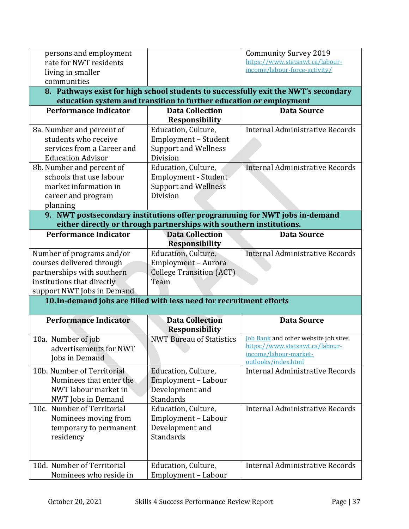|                                                                            |                                                                     | <b>Community Survey 2019</b>                                                        |
|----------------------------------------------------------------------------|---------------------------------------------------------------------|-------------------------------------------------------------------------------------|
| rate for NWT residents                                                     |                                                                     | https://www.statsnwt.ca/labour-                                                     |
| living in smaller                                                          |                                                                     | income/labour-force-activity/                                                       |
| communities                                                                |                                                                     |                                                                                     |
|                                                                            |                                                                     | 8. Pathways exist for high school students to successfully exit the NWT's secondary |
|                                                                            | education system and transition to further education or employment  |                                                                                     |
| <b>Performance Indicator</b>                                               | <b>Data Collection</b>                                              | <b>Data Source</b>                                                                  |
|                                                                            | <b>Responsibility</b>                                               |                                                                                     |
| 8a. Number and percent of                                                  | Education, Culture,                                                 | Internal Administrative Records                                                     |
| students who receive                                                       | Employment - Student                                                |                                                                                     |
| services from a Career and                                                 | <b>Support and Wellness</b>                                         |                                                                                     |
| <b>Education Advisor</b>                                                   | Division                                                            |                                                                                     |
| 8b. Number and percent of                                                  | Education, Culture,                                                 | Internal Administrative Records                                                     |
| schools that use labour                                                    | Employment - Student                                                |                                                                                     |
| market information in                                                      | <b>Support and Wellness</b>                                         |                                                                                     |
| career and program                                                         | Division                                                            |                                                                                     |
| planning                                                                   |                                                                     |                                                                                     |
| 9. NWT postsecondary institutions offer programming for NWT jobs in-demand |                                                                     |                                                                                     |
|                                                                            | either directly or through partnerships with southern institutions. |                                                                                     |
| <b>Performance Indicator</b>                                               | <b>Data Collection</b>                                              | <b>Data Source</b>                                                                  |
|                                                                            | <b>Responsibility</b>                                               |                                                                                     |
| Number of programs and/or                                                  | Education, Culture,                                                 | <b>Internal Administrative Records</b>                                              |
| courses delivered through                                                  | Employment - Aurora                                                 |                                                                                     |
| partnerships with southern                                                 | <b>College Transition (ACT)</b>                                     |                                                                                     |
|                                                                            |                                                                     |                                                                                     |
| institutions that directly                                                 | Team                                                                |                                                                                     |
| support NWT Jobs in Demand                                                 |                                                                     |                                                                                     |
| 10. In-demand jobs are filled with less need for recruitment efforts       |                                                                     |                                                                                     |
|                                                                            |                                                                     |                                                                                     |
| <b>Performance Indicator</b>                                               | <b>Data Collection</b>                                              | <b>Data Source</b>                                                                  |
|                                                                            | <b>Responsibility</b>                                               |                                                                                     |
| 10a. Number of job                                                         | <b>NWT Bureau of Statistics</b>                                     | <b>Job Bank</b> and other website job sites<br>https://www.statsnwt.ca/labour-      |
| advertisements for NWT                                                     |                                                                     | income/labour-market-                                                               |
| Jobs in Demand                                                             |                                                                     | outlooks/index.html                                                                 |
| 10b. Number of Territorial                                                 | Education, Culture,                                                 | Internal Administrative Records                                                     |
| Nominees that enter the                                                    | Employment - Labour                                                 |                                                                                     |
| NWT labour market in                                                       | Development and                                                     |                                                                                     |
| NWT Jobs in Demand                                                         | Standards                                                           |                                                                                     |
| 10c. Number of Territorial                                                 | Education, Culture,                                                 | Internal Administrative Records                                                     |
| Nominees moving from                                                       | Employment - Labour                                                 |                                                                                     |
| temporary to permanent                                                     | Development and                                                     |                                                                                     |
| residency                                                                  | <b>Standards</b>                                                    |                                                                                     |
|                                                                            |                                                                     |                                                                                     |
|                                                                            |                                                                     |                                                                                     |
| 10d. Number of Territorial<br>Nominees who reside in                       | Education, Culture,<br>Employment - Labour                          | Internal Administrative Records                                                     |